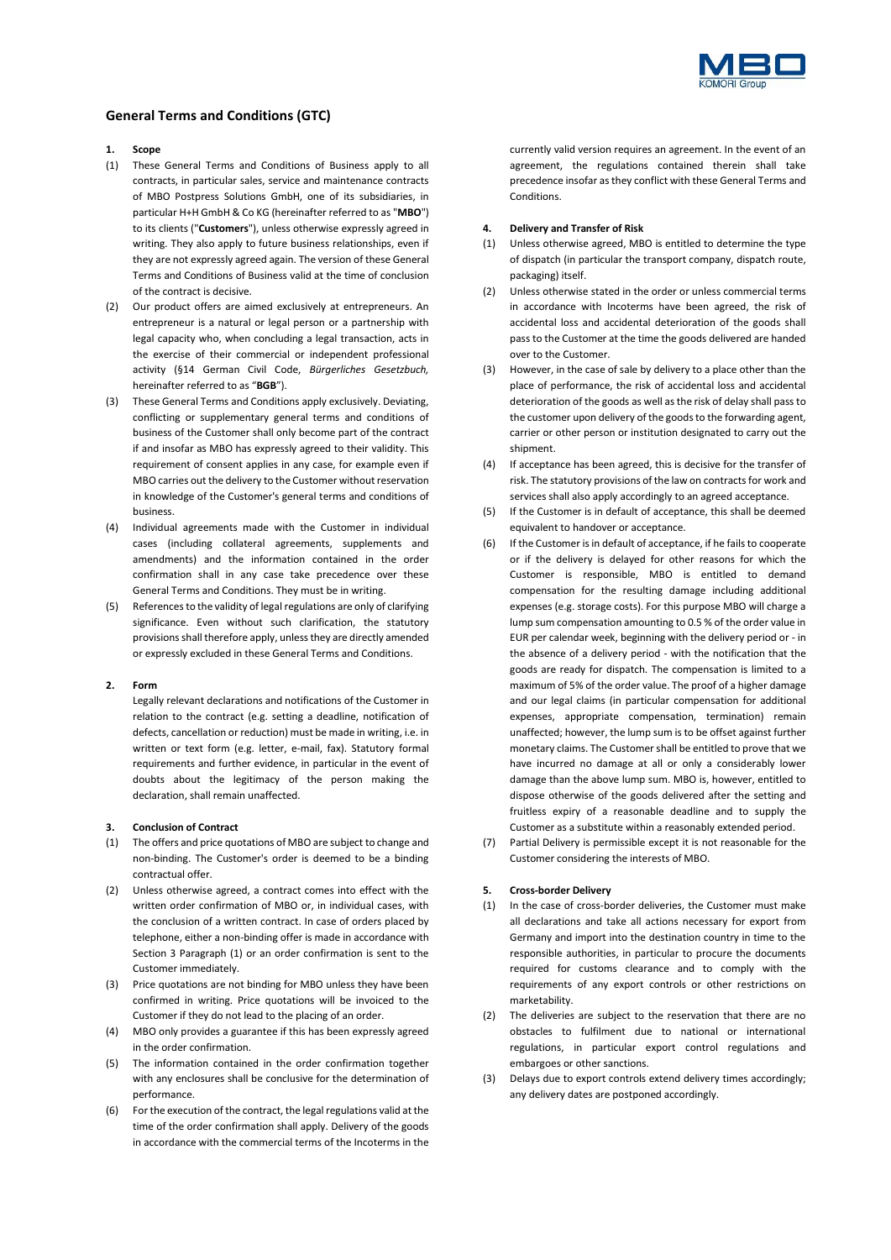

# **General Terms and Conditions (GTC)**

## **1. Scope**

- (1) These General Terms and Conditions of Business apply to all contracts, in particular sales, service and maintenance contracts of MBO Postpress Solutions GmbH, one of its subsidiaries, in particular H+H GmbH & Co KG (hereinafter referred to as "**MBO**") to its clients ("**Customers**"), unless otherwise expressly agreed in writing. They also apply to future business relationships, even if they are not expressly agreed again. The version of these General Terms and Conditions of Business valid at the time of conclusion of the contract is decisive.
- (2) Our product offers are aimed exclusively at entrepreneurs. An entrepreneur is a natural or legal person or a partnership with legal capacity who, when concluding a legal transaction, acts in the exercise of their commercial or independent professional activity (§14 German Civil Code, *Bürgerliches Gesetzbuch,* hereinafter referred to as "**BGB**").
- (3) These General Terms and Conditions apply exclusively. Deviating, conflicting or supplementary general terms and conditions of business of the Customer shall only become part of the contract if and insofar as MBO has expressly agreed to their validity. This requirement of consent applies in any case, for example even if MBO carries out the delivery to the Customer without reservation in knowledge of the Customer's general terms and conditions of business.
- (4) Individual agreements made with the Customer in individual cases (including collateral agreements, supplements and amendments) and the information contained in the order confirmation shall in any case take precedence over these General Terms and Conditions. They must be in writing.
- (5) References to the validity of legal regulations are only of clarifying significance. Even without such clarification, the statutory provisions shall therefore apply, unless they are directly amended or expressly excluded in these General Terms and Conditions.

## **2. Form**

Legally relevant declarations and notifications of the Customer in relation to the contract (e.g. setting a deadline, notification of defects, cancellation or reduction) must be made in writing, i.e. in written or text form (e.g. letter, e-mail, fax). Statutory formal requirements and further evidence, in particular in the event of doubts about the legitimacy of the person making the declaration, shall remain unaffected.

## <span id="page-0-0"></span>**3. Conclusion of Contract**

- <span id="page-0-1"></span>(1) The offers and price quotations of MBO are subject to change and non-binding. The Customer's order is deemed to be a binding contractual offer.
- (2) Unless otherwise agreed, a contract comes into effect with the written order confirmation of MBO or, in individual cases, with the conclusion of a written contract. In case of orders placed by telephone, either a non-binding offer is made in accordance with Section [3](#page-0-0) Paragraph [\(1\)](#page-0-1) or an order confirmation is sent to the Customer immediately.
- (3) Price quotations are not binding for MBO unless they have been confirmed in writing. Price quotations will be invoiced to the Customer if they do not lead to the placing of an order.
- (4) MBO only provides a guarantee if this has been expressly agreed in the order confirmation.
- (5) The information contained in the order confirmation together with any enclosures shall be conclusive for the determination of performance.
- (6) For the execution of the contract, the legal regulations valid at the time of the order confirmation shall apply. Delivery of the goods in accordance with the commercial terms of the Incoterms in the

currently valid version requires an agreement. In the event of an agreement, the regulations contained therein shall take precedence insofar as they conflict with these General Terms and Conditions.

#### **4. Delivery and Transfer of Risk**

- (1) Unless otherwise agreed, MBO is entitled to determine the type of dispatch (in particular the transport company, dispatch route, packaging) itself.
- (2) Unless otherwise stated in the order or unless commercial terms in accordance with Incoterms have been agreed, the risk of accidental loss and accidental deterioration of the goods shall pass to the Customer at the time the goods delivered are handed over to the Customer.
- (3) However, in the case of sale by delivery to a place other than the place of performance, the risk of accidental loss and accidental deterioration of the goods as well as the risk of delay shall pass to the customer upon delivery of the goods to the forwarding agent, carrier or other person or institution designated to carry out the shipment.
- (4) If acceptance has been agreed, this is decisive for the transfer of risk. The statutory provisions of the law on contracts for work and services shall also apply accordingly to an agreed acceptance.
- (5) If the Customer is in default of acceptance, this shall be deemed equivalent to handover or acceptance.
- (6) If the Customer is in default of acceptance, if he fails to cooperate or if the delivery is delayed for other reasons for which the Customer is responsible, MBO is entitled to demand compensation for the resulting damage including additional expenses (e.g. storage costs). For this purpose MBO will charge a lump sum compensation amounting to 0.5 % of the order value in EUR per calendar week, beginning with the delivery period or - in the absence of a delivery period - with the notification that the goods are ready for dispatch. The compensation is limited to a maximum of 5% of the order value. The proof of a higher damage and our legal claims (in particular compensation for additional expenses, appropriate compensation, termination) remain unaffected; however, the lump sum is to be offset against further monetary claims. The Customer shall be entitled to prove that we have incurred no damage at all or only a considerably lower damage than the above lump sum. MBO is, however, entitled to dispose otherwise of the goods delivered after the setting and fruitless expiry of a reasonable deadline and to supply the Customer as a substitute within a reasonably extended period.
- (7) Partial Delivery is permissible except it is not reasonable for the Customer considering the interests of MBO.

## <span id="page-0-2"></span>**5. Cross-border Delivery**

- (1) In the case of cross-border deliveries, the Customer must make all declarations and take all actions necessary for export from Germany and import into the destination country in time to the responsible authorities, in particular to procure the documents required for customs clearance and to comply with the requirements of any export controls or other restrictions on marketability.
- (2) The deliveries are subject to the reservation that there are no obstacles to fulfilment due to national or international regulations, in particular export control regulations and embargoes or other sanctions.
- Delays due to export controls extend delivery times accordingly; any delivery dates are postponed accordingly.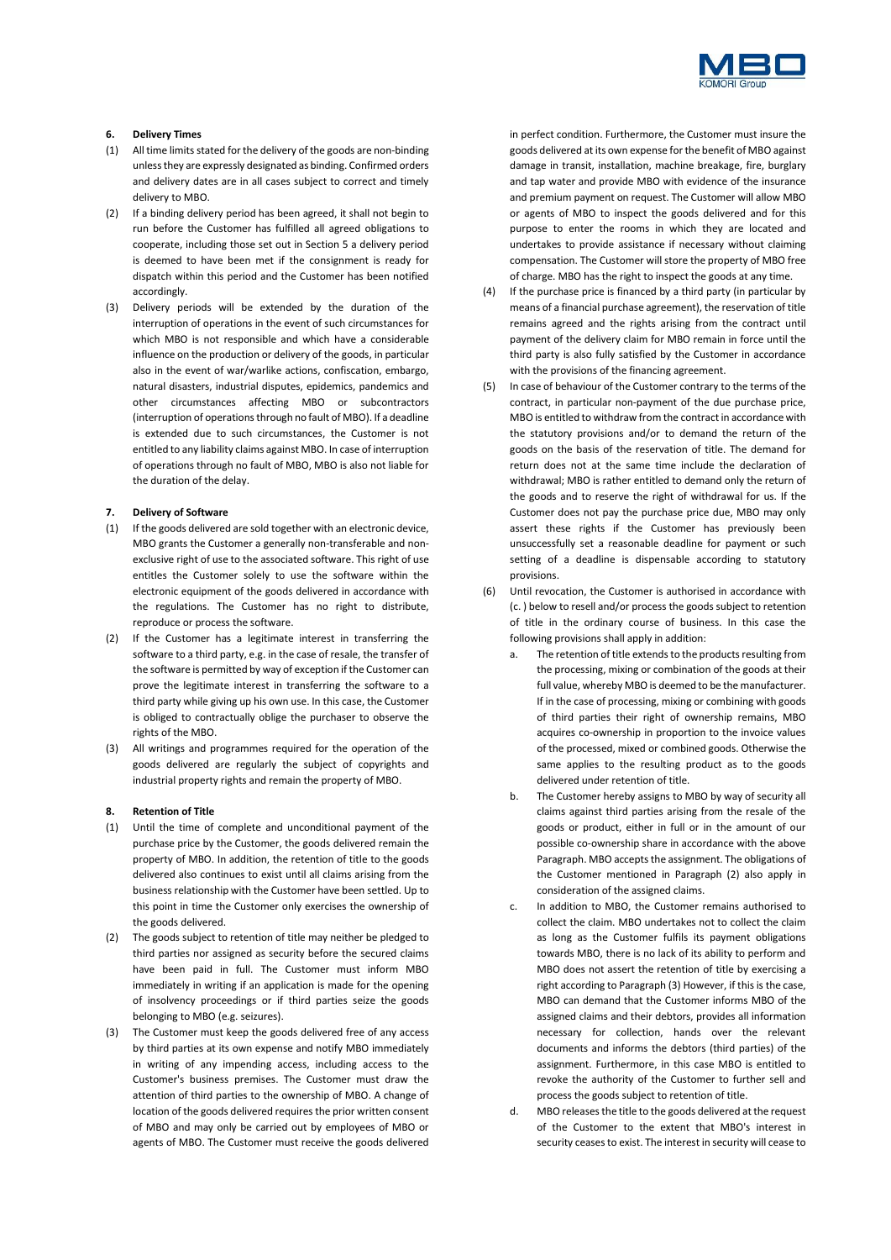

## **6. Delivery Times**

- (1) All time limits stated for the delivery of the goods are non-binding unless they are expressly designated as binding. Confirmed orders and delivery dates are in all cases subject to correct and timely delivery to MBO.
- (2) If a binding delivery period has been agreed, it shall not begin to run before the Customer has fulfilled all agreed obligations to cooperate, including those set out in Section [5](#page-0-2) a delivery period is deemed to have been met if the consignment is ready for dispatch within this period and the Customer has been notified accordingly.
- (3) Delivery periods will be extended by the duration of the interruption of operations in the event of such circumstances for which MBO is not responsible and which have a considerable influence on the production or delivery of the goods, in particular also in the event of war/warlike actions, confiscation, embargo, natural disasters, industrial disputes, epidemics, pandemics and other circumstances affecting MBO or subcontractors (interruption of operations through no fault of MBO). If a deadline is extended due to such circumstances, the Customer is not entitled to any liability claims against MBO. In case of interruption of operations through no fault of MBO, MBO is also not liable for the duration of the delay.

### **7. Delivery of Software**

- (1) If the goods delivered are sold together with an electronic device, MBO grants the Customer a generally non-transferable and nonexclusive right of use to the associated software. This right of use entitles the Customer solely to use the software within the electronic equipment of the goods delivered in accordance with the regulations. The Customer has no right to distribute, reproduce or process the software.
- (2) If the Customer has a legitimate interest in transferring the software to a third party, e.g. in the case of resale, the transfer of the software is permitted by way of exception if the Customer can prove the legitimate interest in transferring the software to a third party while giving up his own use. In this case, the Customer is obliged to contractually oblige the purchaser to observe the rights of the MBO.
- (3) All writings and programmes required for the operation of the goods delivered are regularly the subject of copyrights and industrial property rights and remain the property of MBO.

## **8. Retention of Title**

- (1) Until the time of complete and unconditional payment of the purchase price by the Customer, the goods delivered remain the property of MBO. In addition, the retention of title to the goods delivered also continues to exist until all claims arising from the business relationship with the Customer have been settled. Up to this point in time the Customer only exercises the ownership of the goods delivered.
- <span id="page-1-1"></span>(2) The goods subject to retention of title may neither be pledged to third parties nor assigned as security before the secured claims have been paid in full. The Customer must inform MBO immediately in writing if an application is made for the opening of insolvency proceedings or if third parties seize the goods belonging to MBO (e.g. seizures).
- <span id="page-1-2"></span>(3) The Customer must keep the goods delivered free of any access by third parties at its own expense and notify MBO immediately in writing of any impending access, including access to the Customer's business premises. The Customer must draw the attention of third parties to the ownership of MBO. A change of location of the goods delivered requires the prior written consent of MBO and may only be carried out by employees of MBO or agents of MBO. The Customer must receive the goods delivered

in perfect condition. Furthermore, the Customer must insure the goods delivered at its own expense for the benefit of MBO against damage in transit, installation, machine breakage, fire, burglary and tap water and provide MBO with evidence of the insurance and premium payment on request. The Customer will allow MBO or agents of MBO to inspect the goods delivered and for this purpose to enter the rooms in which they are located and undertakes to provide assistance if necessary without claiming compensation. The Customer will store the property of MBO free of charge. MBO has the right to inspect the goods at any time.

- (4) If the purchase price is financed by a third party (in particular by means of a financial purchase agreement), the reservation of title remains agreed and the rights arising from the contract until payment of the delivery claim for MBO remain in force until the third party is also fully satisfied by the Customer in accordance with the provisions of the financing agreement.
- (5) In case of behaviour of the Customer contrary to the terms of the contract, in particular non-payment of the due purchase price, MBO is entitled to withdraw from the contract in accordance with the statutory provisions and/or to demand the return of the goods on the basis of the reservation of title. The demand for return does not at the same time include the declaration of withdrawal; MBO is rather entitled to demand only the return of the goods and to reserve the right of withdrawal for us. If the Customer does not pay the purchase price due, MBO may only assert these rights if the Customer has previously been unsuccessfully set a reasonable deadline for payment or such setting of a deadline is dispensable according to statutory provisions.
- <span id="page-1-0"></span>(6) Until revocation, the Customer is authorised in accordance with [\(c.](#page-1-0) ) below to resell and/or process the goods subject to retention of title in the ordinary course of business. In this case the following provisions shall apply in addition:
	- The retention of title extends to the products resulting from the processing, mixing or combination of the goods at their full value, whereby MBO is deemed to be the manufacturer. If in the case of processing, mixing or combining with goods of third parties their right of ownership remains, MBO acquires co-ownership in proportion to the invoice values of the processed, mixed or combined goods. Otherwise the same applies to the resulting product as to the goods delivered under retention of title.
	- b. The Customer hereby assigns to MBO by way of security all claims against third parties arising from the resale of the goods or product, either in full or in the amount of our possible co-ownership share in accordance with the above Paragraph. MBO accepts the assignment. The obligations of the Customer mentioned in Paragraph [\(2\)](#page-1-1) also apply in consideration of the assigned claims.
	- In addition to MBO, the Customer remains authorised to collect the claim. MBO undertakes not to collect the claim as long as the Customer fulfils its payment obligations towards MBO, there is no lack of its ability to perform and MBO does not assert the retention of title by exercising a right according to Paragrap[h \(3\)](#page-1-2) However, if this is the case, MBO can demand that the Customer informs MBO of the assigned claims and their debtors, provides all information necessary for collection, hands over the relevant documents and informs the debtors (third parties) of the assignment. Furthermore, in this case MBO is entitled to revoke the authority of the Customer to further sell and process the goods subject to retention of title.
	- d. MBO releases the title to the goods delivered at the request of the Customer to the extent that MBO's interest in security ceases to exist. The interest in security will cease to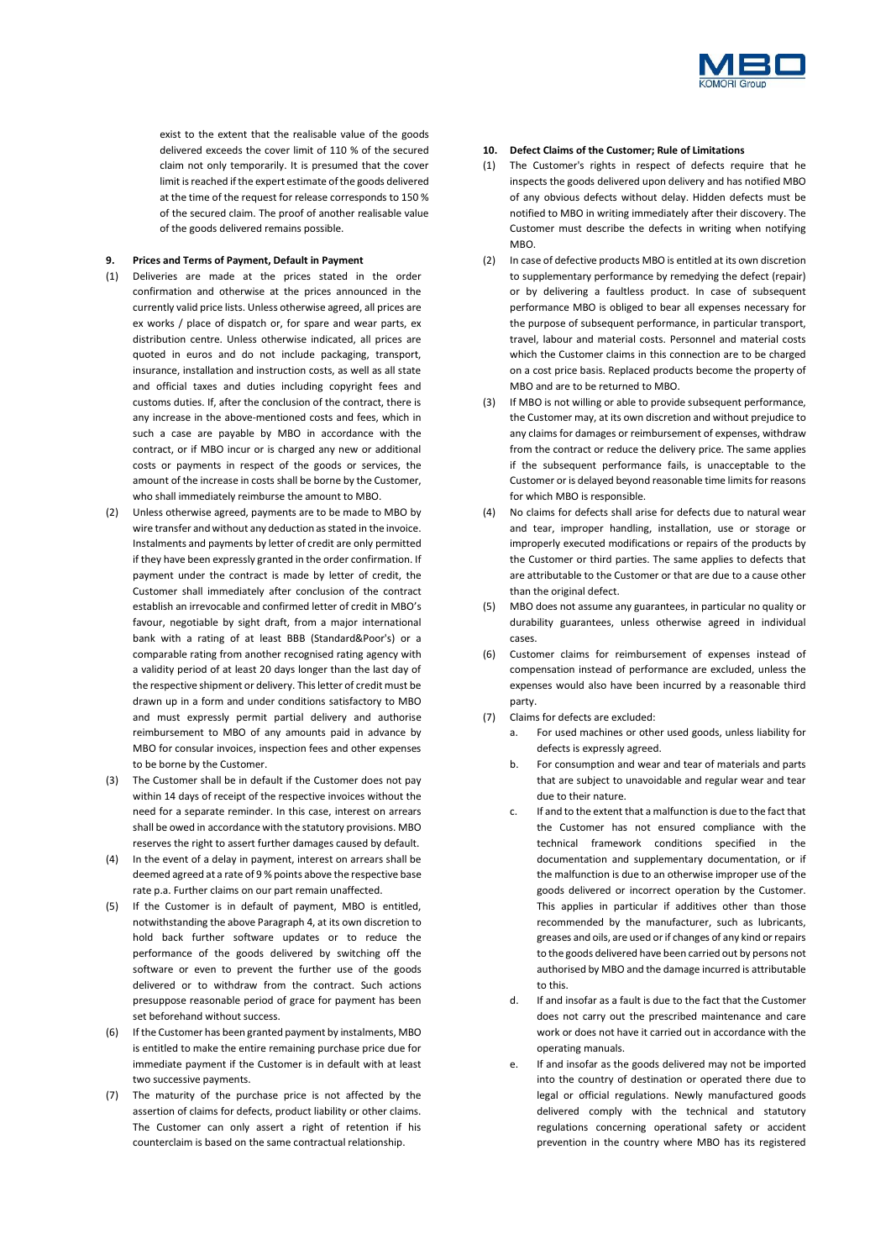

exist to the extent that the realisable value of the goods delivered exceeds the cover limit of 110 % of the secured claim not only temporarily. It is presumed that the cover limit is reached if the expert estimate of the goods delivered at the time of the request for release corresponds to 150 % of the secured claim. The proof of another realisable value of the goods delivered remains possible.

## **9. Prices and Terms of Payment, Default in Payment**

- (1) Deliveries are made at the prices stated in the order confirmation and otherwise at the prices announced in the currently valid price lists. Unless otherwise agreed, all prices are ex works / place of dispatch or, for spare and wear parts, ex distribution centre. Unless otherwise indicated, all prices are quoted in euros and do not include packaging, transport, insurance, installation and instruction costs, as well as all state and official taxes and duties including copyright fees and customs duties. If, after the conclusion of the contract, there is any increase in the above-mentioned costs and fees, which in such a case are payable by MBO in accordance with the contract, or if MBO incur or is charged any new or additional costs or payments in respect of the goods or services, the amount of the increase in costs shall be borne by the Customer, who shall immediately reimburse the amount to MBO.
- (2) Unless otherwise agreed, payments are to be made to MBO by wire transfer and without any deduction as stated in the invoice. Instalments and payments by letter of credit are only permitted if they have been expressly granted in the order confirmation. If payment under the contract is made by letter of credit, the Customer shall immediately after conclusion of the contract establish an irrevocable and confirmed letter of credit in MBO's favour, negotiable by sight draft, from a major international bank with a rating of at least BBB (Standard&Poor's) or a comparable rating from another recognised rating agency with a validity period of at least 20 days longer than the last day of the respective shipment or delivery. This letter of credit must be drawn up in a form and under conditions satisfactory to MBO and must expressly permit partial delivery and authorise reimbursement to MBO of any amounts paid in advance by MBO for consular invoices, inspection fees and other expenses to be borne by the Customer.
- (3) The Customer shall be in default if the Customer does not pay within 14 days of receipt of the respective invoices without the need for a separate reminder. In this case, interest on arrears shall be owed in accordance with the statutory provisions. MBO reserves the right to assert further damages caused by default.
- (4) In the event of a delay in payment, interest on arrears shall be deemed agreed at a rate of 9 % points above the respective base rate p.a. Further claims on our part remain unaffected.
- (5) If the Customer is in default of payment, MBO is entitled, notwithstanding the above Paragraph 4, at its own discretion to hold back further software updates or to reduce the performance of the goods delivered by switching off the software or even to prevent the further use of the goods delivered or to withdraw from the contract. Such actions presuppose reasonable period of grace for payment has been set beforehand without success.
- (6) If the Customer has been granted payment by instalments, MBO is entitled to make the entire remaining purchase price due for immediate payment if the Customer is in default with at least two successive payments.
- (7) The maturity of the purchase price is not affected by the assertion of claims for defects, product liability or other claims. The Customer can only assert a right of retention if his counterclaim is based on the same contractual relationship.

## **10. Defect Claims of the Customer; Rule of Limitations**

- (1) The Customer's rights in respect of defects require that he inspects the goods delivered upon delivery and has notified MBO of any obvious defects without delay. Hidden defects must be notified to MBO in writing immediately after their discovery. The Customer must describe the defects in writing when notifying MBO.
- (2) In case of defective products MBO is entitled at its own discretion to supplementary performance by remedying the defect (repair) or by delivering a faultless product. In case of subsequent performance MBO is obliged to bear all expenses necessary for the purpose of subsequent performance, in particular transport, travel, labour and material costs. Personnel and material costs which the Customer claims in this connection are to be charged on a cost price basis. Replaced products become the property of MBO and are to be returned to MBO.
- (3) If MBO is not willing or able to provide subsequent performance, the Customer may, at its own discretion and without prejudice to any claims for damages or reimbursement of expenses, withdraw from the contract or reduce the delivery price. The same applies if the subsequent performance fails, is unacceptable to the Customer or is delayed beyond reasonable time limits for reasons for which MBO is responsible.
- (4) No claims for defects shall arise for defects due to natural wear and tear, improper handling, installation, use or storage or improperly executed modifications or repairs of the products by the Customer or third parties. The same applies to defects that are attributable to the Customer or that are due to a cause other than the original defect.
- (5) MBO does not assume any guarantees, in particular no quality or durability guarantees, unless otherwise agreed in individual cases.
- (6) Customer claims for reimbursement of expenses instead of compensation instead of performance are excluded, unless the expenses would also have been incurred by a reasonable third party.
- (7) Claims for defects are excluded:
	- a. For used machines or other used goods, unless liability for defects is expressly agreed.
	- b. For consumption and wear and tear of materials and parts that are subject to unavoidable and regular wear and tear due to their nature.
	- c. If and to the extent that a malfunction is due to the fact that the Customer has not ensured compliance with the technical framework conditions specified in the documentation and supplementary documentation, or if the malfunction is due to an otherwise improper use of the goods delivered or incorrect operation by the Customer. This applies in particular if additives other than those recommended by the manufacturer, such as lubricants, greases and oils, are used or if changes of any kind or repairs to the goods delivered have been carried out by persons not authorised by MBO and the damage incurred is attributable to this.
	- d. If and insofar as a fault is due to the fact that the Customer does not carry out the prescribed maintenance and care work or does not have it carried out in accordance with the operating manuals.
	- e. If and insofar as the goods delivered may not be imported into the country of destination or operated there due to legal or official regulations. Newly manufactured goods delivered comply with the technical and statutory regulations concerning operational safety or accident prevention in the country where MBO has its registered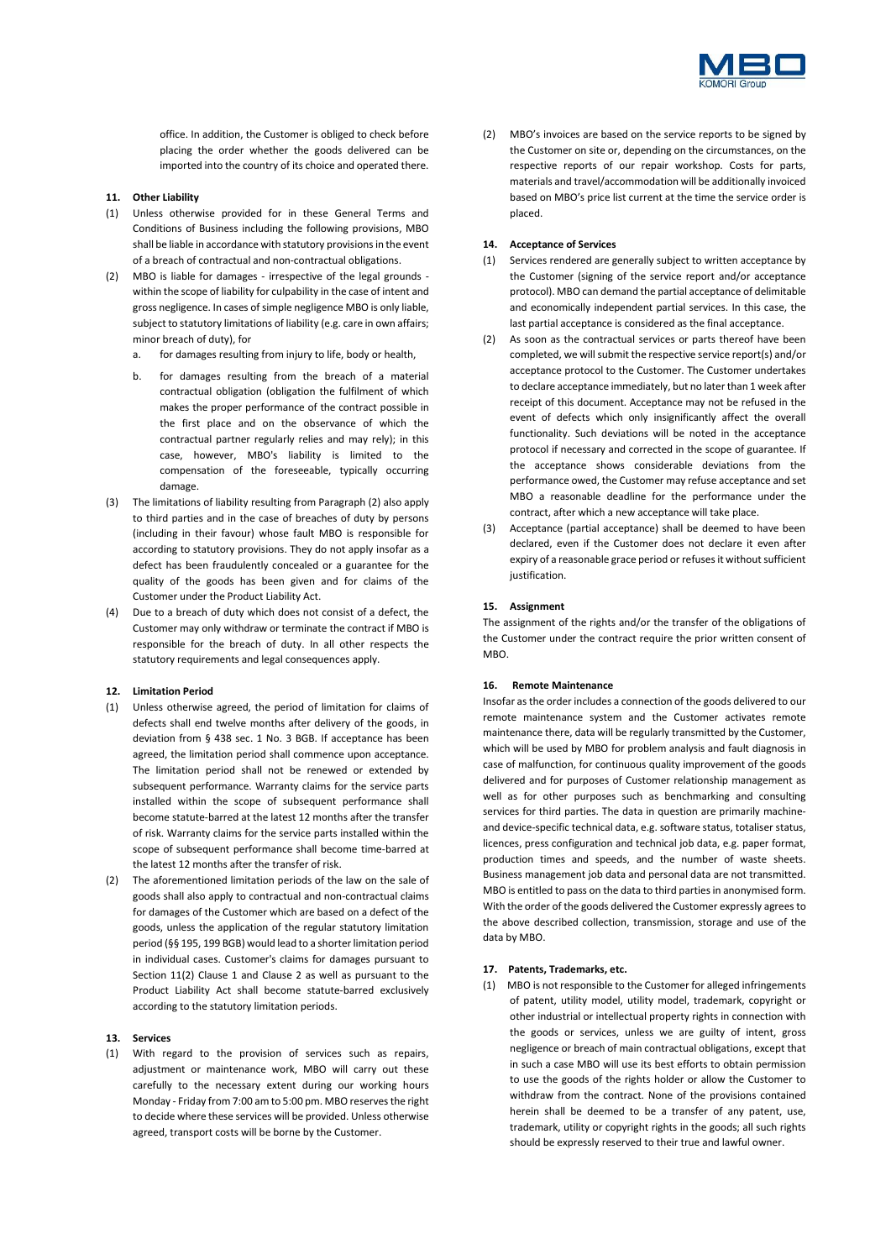

office. In addition, the Customer is obliged to check before placing the order whether the goods delivered can be imported into the country of its choice and operated there.

### **11. Other Liability**

- (1) Unless otherwise provided for in these General Terms and Conditions of Business including the following provisions, MBO shall be liable in accordance with statutory provisions in the event of a breach of contractual and non-contractual obligations.
- <span id="page-3-1"></span><span id="page-3-0"></span>(2) MBO is liable for damages - irrespective of the legal grounds within the scope of liability for culpability in the case of intent and gross negligence. In cases of simple negligence MBO is only liable, subject to statutory limitations of liability (e.g. care in own affairs; minor breach of duty), for
	- a. for damages resulting from injury to life, body or health,
	- b. for damages resulting from the breach of a material contractual obligation (obligation the fulfilment of which makes the proper performance of the contract possible in the first place and on the observance of which the contractual partner regularly relies and may rely); in this case, however, MBO's liability is limited to the compensation of the foreseeable, typically occurring damage.
- (3) The limitations of liability resulting from Paragrap[h \(2\)](#page-3-0) also apply to third parties and in the case of breaches of duty by persons (including in their favour) whose fault MBO is responsible for according to statutory provisions. They do not apply insofar as a defect has been fraudulently concealed or a guarantee for the quality of the goods has been given and for claims of the Customer under the Product Liability Act.
- (4) Due to a breach of duty which does not consist of a defect, the Customer may only withdraw or terminate the contract if MBO is responsible for the breach of duty. In all other respects the statutory requirements and legal consequences apply.

#### **12. Limitation Period**

- (1) Unless otherwise agreed, the period of limitation for claims of defects shall end twelve months after delivery of the goods, in deviation from § 438 sec. 1 No. 3 BGB. If acceptance has been agreed, the limitation period shall commence upon acceptance. The limitation period shall not be renewed or extended by subsequent performance. Warranty claims for the service parts installed within the scope of subsequent performance shall become statute-barred at the latest 12 months after the transfer of risk. Warranty claims for the service parts installed within the scope of subsequent performance shall become time-barred at the latest 12 months after the transfer of risk.
- (2) The aforementioned limitation periods of the law on the sale of goods shall also apply to contractual and non-contractual claims for damages of the Customer which are based on a defect of the goods, unless the application of the regular statutory limitation period (§§ 195, 199 BGB) would lead to a shorter limitation period in individual cases. Customer's claims for damages pursuant to Section [11\(2\)](#page-3-0) Clause 1 and Clause 2 [as](#page-3-1) well as pursuant to the Product Liability Act shall become statute-barred exclusively according to the statutory limitation periods.

## **13. Services**

(1) With regard to the provision of services such as repairs, adjustment or maintenance work, MBO will carry out these carefully to the necessary extent during our working hours Monday - Friday from 7:00 am to 5:00 pm. MBO reserves the right to decide where these services will be provided. Unless otherwise agreed, transport costs will be borne by the Customer.

(2) MBO's invoices are based on the service reports to be signed by the Customer on site or, depending on the circumstances, on the respective reports of our repair workshop. Costs for parts, materials and travel/accommodation will be additionally invoiced based on MBO's price list current at the time the service order is placed.

## **14. Acceptance of Services**

- (1) Services rendered are generally subject to written acceptance by the Customer (signing of the service report and/or acceptance protocol). MBO can demand the partial acceptance of delimitable and economically independent partial services. In this case, the last partial acceptance is considered as the final acceptance.
- (2) As soon as the contractual services or parts thereof have been completed, we will submit the respective service report(s) and/or acceptance protocol to the Customer. The Customer undertakes to declare acceptance immediately, but no later than 1 week after receipt of this document. Acceptance may not be refused in the event of defects which only insignificantly affect the overall functionality. Such deviations will be noted in the acceptance protocol if necessary and corrected in the scope of guarantee. If the acceptance shows considerable deviations from the performance owed, the Customer may refuse acceptance and set MBO a reasonable deadline for the performance under the contract, after which a new acceptance will take place.
- (3) Acceptance (partial acceptance) shall be deemed to have been declared, even if the Customer does not declare it even after expiry of a reasonable grace period or refuses it without sufficient iustification.

#### **15. Assignment**

The assignment of the rights and/or the transfer of the obligations of the Customer under the contract require the prior written consent of M<sub>RO</sub>

## **16. Remote Maintenance**

Insofar as the order includes a connection of the goods delivered to our remote maintenance system and the Customer activates remote maintenance there, data will be regularly transmitted by the Customer, which will be used by MBO for problem analysis and fault diagnosis in case of malfunction, for continuous quality improvement of the goods delivered and for purposes of Customer relationship management as well as for other purposes such as benchmarking and consulting services for third parties. The data in question are primarily machineand device-specific technical data, e.g. software status, totaliser status, licences, press configuration and technical job data, e.g. paper format, production times and speeds, and the number of waste sheets. Business management job data and personal data are not transmitted. MBO is entitled to pass on the data to third parties in anonymised form. With the order of the goods delivered the Customer expressly agrees to the above described collection, transmission, storage and use of the data by MBO.

#### **17. Patents, Trademarks, etc.**

(1) MBO is not responsible to the Customer for alleged infringements of patent, utility model, utility model, trademark, copyright or other industrial or intellectual property rights in connection with the goods or services, unless we are guilty of intent, gross negligence or breach of main contractual obligations, except that in such a case MBO will use its best efforts to obtain permission to use the goods of the rights holder or allow the Customer to withdraw from the contract. None of the provisions contained herein shall be deemed to be a transfer of any patent, use, trademark, utility or copyright rights in the goods; all such rights should be expressly reserved to their true and lawful owner.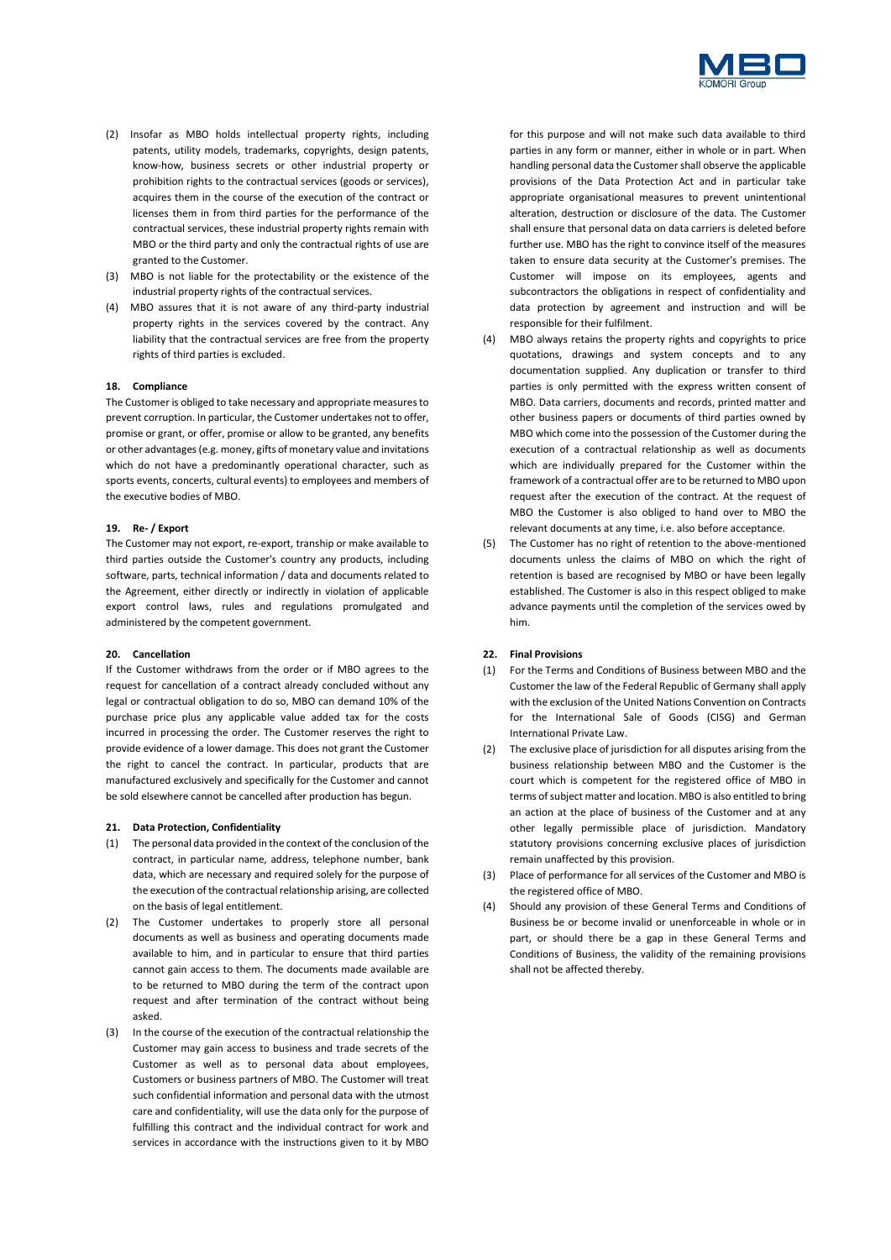

- (2) Insofar as MBO holds intellectual property rights, including patents, utility models, trademarks, copyrights, design patents, know-how, business secrets or other industrial property or prohibition rights to the contractual services (goods or services), acquires them in the course of the execution of the contract or licenses them in from third parties for the performance of the contractual services, these industrial property rights remain with MBO or the third party and only the contractual rights of use are granted to the Customer.
- (3) MBO is not liable for the protectability or the existence of the industrial property rights of the contractual services.
- (4) MBO assures that it is not aware of any third-party industrial property rights in the services covered by the contract. Any liability that the contractual services are free from the property rights of third parties is excluded.

## **18. Compliance**

The Customer is obliged to take necessary and appropriate measures to prevent corruption. In particular, the Customer undertakes not to offer, promise or grant, or offer, promise or allow to be granted, any benefits or other advantages (e.g. money, gifts of monetary value and invitations which do not have a predominantly operational character, such as sports events, concerts, cultural events) to employees and members of the executive bodies of MBO.

#### **19. Re- / Export**

The Customer may not export, re-export, tranship or make available to third parties outside the Customer's country any products, including software, parts, technical information / data and documents related to the Agreement, either directly or indirectly in violation of applicable export control laws, rules and regulations promulgated and administered by the competent government.

#### **20. Cancellation**

If the Customer withdraws from the order or if MBO agrees to the request for cancellation of a contract already concluded without any legal or contractual obligation to do so, MBO can demand 10% of the purchase price plus any applicable value added tax for the costs incurred in processing the order. The Customer reserves the right to provide evidence of a lower damage. This does not grant the Customer the right to cancel the contract. In particular, products that are manufactured exclusively and specifically for the Customer and cannot be sold elsewhere cannot be cancelled after production has begun.

### **21. Data Protection, Confidentiality**

- (1) The personal data provided in the context of the conclusion of the contract, in particular name, address, telephone number, bank data, which are necessary and required solely for the purpose of the execution of the contractual relationship arising, are collected on the basis of legal entitlement.
- (2) The Customer undertakes to properly store all personal documents as well as business and operating documents made available to him, and in particular to ensure that third parties cannot gain access to them. The documents made available are to be returned to MBO during the term of the contract upon request and after termination of the contract without being asked.
- (3) In the course of the execution of the contractual relationship the Customer may gain access to business and trade secrets of the Customer as well as to personal data about employees, Customers or business partners of MBO. The Customer will treat such confidential information and personal data with the utmost care and confidentiality, will use the data only for the purpose of fulfilling this contract and the individual contract for work and services in accordance with the instructions given to it by MBO

for this purpose and will not make such data available to third parties in any form or manner, either in whole or in part. When handling personal data the Customer shall observe the applicable provisions of the Data Protection Act and in particular take appropriate organisational measures to prevent unintentional alteration, destruction or disclosure of the data. The Customer shall ensure that personal data on data carriers is deleted before further use. MBO has the right to convince itself of the measures taken to ensure data security at the Customer's premises. The Customer will impose on its employees, agents and subcontractors the obligations in respect of confidentiality and data protection by agreement and instruction and will be responsible for their fulfilment.

- (4) MBO always retains the property rights and copyrights to price quotations, drawings and system concepts and to any documentation supplied. Any duplication or transfer to third parties is only permitted with the express written consent of MBO. Data carriers, documents and records, printed matter and other business papers or documents of third parties owned by MBO which come into the possession of the Customer during the execution of a contractual relationship as well as documents which are individually prepared for the Customer within the framework of a contractual offer are to be returned to MBO upon request after the execution of the contract. At the request of MBO the Customer is also obliged to hand over to MBO the relevant documents at any time, i.e. also before acceptance.
- (5) The Customer has no right of retention to the above-mentioned documents unless the claims of MBO on which the right of retention is based are recognised by MBO or have been legally established. The Customer is also in this respect obliged to make advance payments until the completion of the services owed by him.

## **22. Final Provisions**

- (1) For the Terms and Conditions of Business between MBO and the Customer the law of the Federal Republic of Germany shall apply with the exclusion of the United Nations Convention on Contracts for the International Sale of Goods (CISG) and German International Private Law.
- (2) The exclusive place of jurisdiction for all disputes arising from the business relationship between MBO and the Customer is the court which is competent for the registered office of MBO in terms of subject matter and location. MBO is also entitled to bring an action at the place of business of the Customer and at any other legally permissible place of jurisdiction. Mandatory statutory provisions concerning exclusive places of jurisdiction remain unaffected by this provision.
- (3) Place of performance for all services of the Customer and MBO is the registered office of MBO.
- (4) Should any provision of these General Terms and Conditions of Business be or become invalid or unenforceable in whole or in part, or should there be a gap in these General Terms and Conditions of Business, the validity of the remaining provisions shall not be affected thereby.